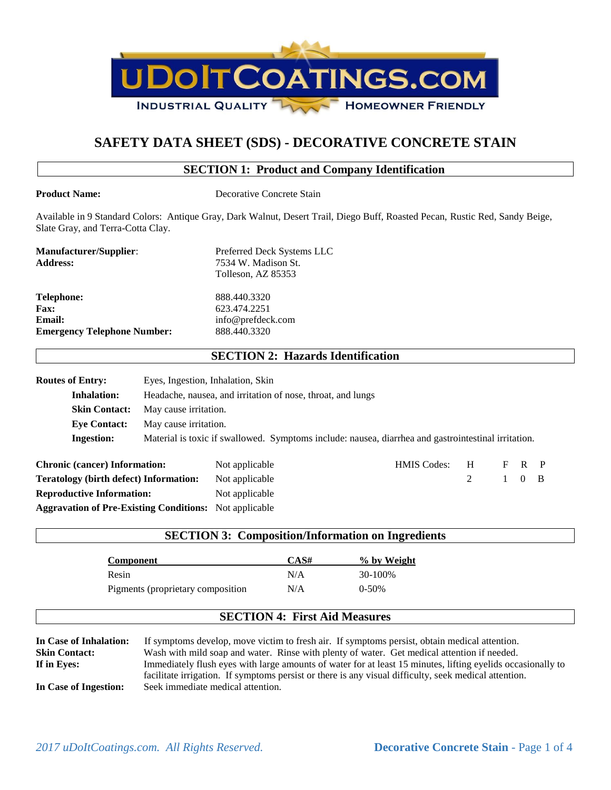

# **SAFETY DATA SHEET (SDS) - DECORATIVE CONCRETE STAIN**

## **SECTION 1: Product and Company Identification**

**Product Name:** Decorative Concrete Stain

Available in 9 Standard Colors: Antique Gray, Dark Walnut, Desert Trail, Diego Buff, Roasted Pecan, Rustic Red, Sandy Beige, Slate Gray, and Terra-Cotta Clay.

| <b>Manufacturer/Supplier:</b>      | Preferred Deck Systems LLC |
|------------------------------------|----------------------------|
| <b>Address:</b>                    | 7534 W. Madison St.        |
|                                    | Tolleson, AZ 85353         |
| <b>Telephone:</b>                  | 888.440.3320               |
| <b>Fax:</b>                        | 623.474.2251               |
| <b>Email:</b>                      | info@prefdeck.com          |
| <b>Emergency Telephone Number:</b> | 888.440.3320               |

## **SECTION 2: Hazards Identification**

| <b>Routes of Entry:</b>              | Eyes, Ingestion, Inhalation, Skin                           |                |  |  |                                                                                                     |            |                       |  |
|--------------------------------------|-------------------------------------------------------------|----------------|--|--|-----------------------------------------------------------------------------------------------------|------------|-----------------------|--|
| <b>Inhalation:</b>                   | Headache, nausea, and irritation of nose, throat, and lungs |                |  |  |                                                                                                     |            |                       |  |
| <b>Skin Contact:</b>                 | May cause irritation.                                       |                |  |  |                                                                                                     |            |                       |  |
| <b>Eve Contact:</b>                  | May cause irritation.                                       |                |  |  |                                                                                                     |            |                       |  |
| <b>Ingestion:</b>                    |                                                             |                |  |  | Material is toxic if swallowed. Symptoms include: nausea, diarrhea and gastrointestinal irritation. |            |                       |  |
| <b>Chronic (cancer) Information:</b> |                                                             | Not applicable |  |  | <b>HMIS</b> Codes:                                                                                  | $_{\rm H}$ | $F$ R P               |  |
|                                      |                                                             |                |  |  |                                                                                                     |            | $\sqrt{1}$ $\sqrt{2}$ |  |

| Can onic (cancer) milor mation.                               | <b>THOL applicable</b> | THATIO COUCO. |         | $\mathbf{1}$ $\mathbf{1}$ |  |
|---------------------------------------------------------------|------------------------|---------------|---------|---------------------------|--|
| <b>Teratology (birth defect) Information:</b>                 | Not applicable         |               | 2 1 0 B |                           |  |
| <b>Reproductive Information:</b>                              | Not applicable         |               |         |                           |  |
| <b>Aggravation of Pre-Existing Conditions:</b> Not applicable |                        |               |         |                           |  |

| <b>SECTION 3: Composition/Information on Ingredients</b> |                                      |             |  |
|----------------------------------------------------------|--------------------------------------|-------------|--|
| Component                                                | CAS#                                 | % by Weight |  |
| Resin                                                    | N/A                                  | 30-100%     |  |
| Pigments (proprietary composition                        | N/A                                  | $0-50%$     |  |
|                                                          | <b>SECTION 4: First Aid Measures</b> |             |  |

**In Case of Inhalation:** If symptoms develop, move victim to fresh air. If symptoms persist, obtain medical attention. **Skin Contact:** Wash with mild soap and water. Rinse with plenty of water. Get medical attention if needed. **If in Eyes:** Immediately flush eyes with large amounts of water for at least 15 minutes, lifting eyelids occasionally to facilitate irrigation. If symptoms persist or there is any visual difficulty, seek medical attention. **In Case of Ingestion:** Seek immediate medical attention.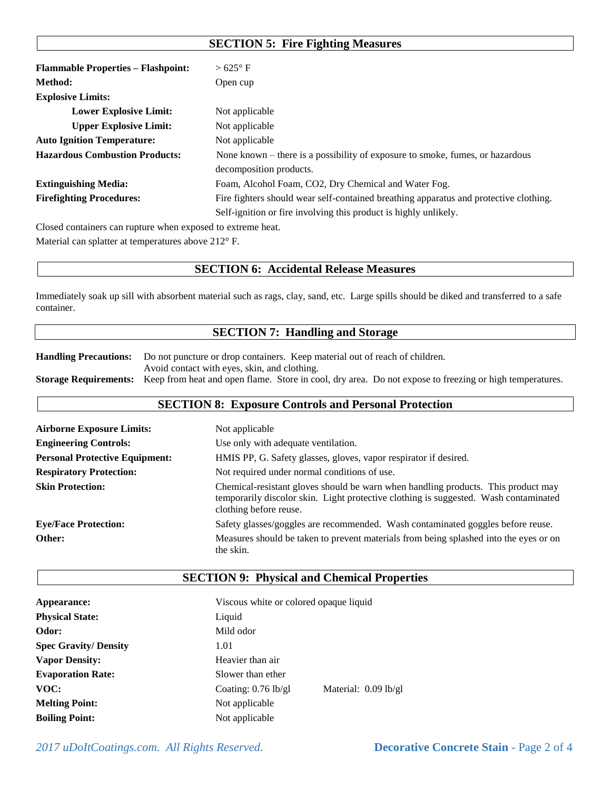# **SECTION 5: Fire Fighting Measures**

| <b>Flammable Properties – Flashpoint:</b>                   | $>625^{\circ}$ F                                                                      |
|-------------------------------------------------------------|---------------------------------------------------------------------------------------|
| Method:                                                     | Open cup                                                                              |
| <b>Explosive Limits:</b>                                    |                                                                                       |
| <b>Lower Explosive Limit:</b>                               | Not applicable                                                                        |
| <b>Upper Explosive Limit:</b>                               | Not applicable                                                                        |
| <b>Auto Ignition Temperature:</b>                           | Not applicable                                                                        |
| <b>Hazardous Combustion Products:</b>                       | None known – there is a possibility of exposure to smoke, fumes, or hazardous         |
|                                                             | decomposition products.                                                               |
| <b>Extinguishing Media:</b>                                 | Foam, Alcohol Foam, CO2, Dry Chemical and Water Fog.                                  |
| <b>Firefighting Procedures:</b>                             | Fire fighters should wear self-contained breathing apparatus and protective clothing. |
|                                                             | Self-ignition or fire involving this product is highly unlikely.                      |
| Closed containers can rupture when exposed to extreme heat. |                                                                                       |

Material can splatter at temperatures above 212° F.

## **SECTION 6: Accidental Release Measures**

Immediately soak up sill with absorbent material such as rags, clay, sand, etc. Large spills should be diked and transferred to a safe container.

## **SECTION 7: Handling and Storage**

**Handling Precautions:** Do not puncture or drop containers. Keep material out of reach of children. Avoid contact with eyes, skin, and clothing. **Storage Requirements:** Keep from heat and open flame. Store in cool, dry area. Do not expose to freezing or high temperatures.

## **SECTION 8: Exposure Controls and Personal Protection**

| <b>Airborne Exposure Limits:</b>      | Not applicable                                                                                                                                                                                      |
|---------------------------------------|-----------------------------------------------------------------------------------------------------------------------------------------------------------------------------------------------------|
| <b>Engineering Controls:</b>          | Use only with adequate ventilation.                                                                                                                                                                 |
| <b>Personal Protective Equipment:</b> | HMIS PP, G. Safety glasses, gloves, vapor respirator if desired.                                                                                                                                    |
| <b>Respiratory Protection:</b>        | Not required under normal conditions of use.                                                                                                                                                        |
| <b>Skin Protection:</b>               | Chemical-resistant gloves should be warn when handling products. This product may<br>temporarily discolor skin. Light protective clothing is suggested. Wash contaminated<br>clothing before reuse. |
| <b>Eye/Face Protection:</b>           | Safety glasses/goggles are recommended. Wash contaminated goggles before reuse.                                                                                                                     |
| Other:                                | Measures should be taken to prevent materials from being splashed into the eyes or on<br>the skin.                                                                                                  |

## **SECTION 9: Physical and Chemical Properties**

| Appearance:                 | Viscous white or colored opaque liquid          |  |  |
|-----------------------------|-------------------------------------------------|--|--|
| <b>Physical State:</b>      | Liquid                                          |  |  |
| Odor:                       | Mild odor                                       |  |  |
| <b>Spec Gravity/Density</b> | 1.01                                            |  |  |
| <b>Vapor Density:</b>       | Heavier than air                                |  |  |
| <b>Evaporation Rate:</b>    | Slower than ether                               |  |  |
| VOC:                        | Material: $0.09$ lb/gl<br>Coating: $0.76$ lb/gl |  |  |
| <b>Melting Point:</b>       | Not applicable                                  |  |  |
| <b>Boiling Point:</b>       | Not applicable                                  |  |  |

*2017 uDoItCoatings.com. All Rights Reserved.* **Decorative Concrete Stain** - Page 2 of 4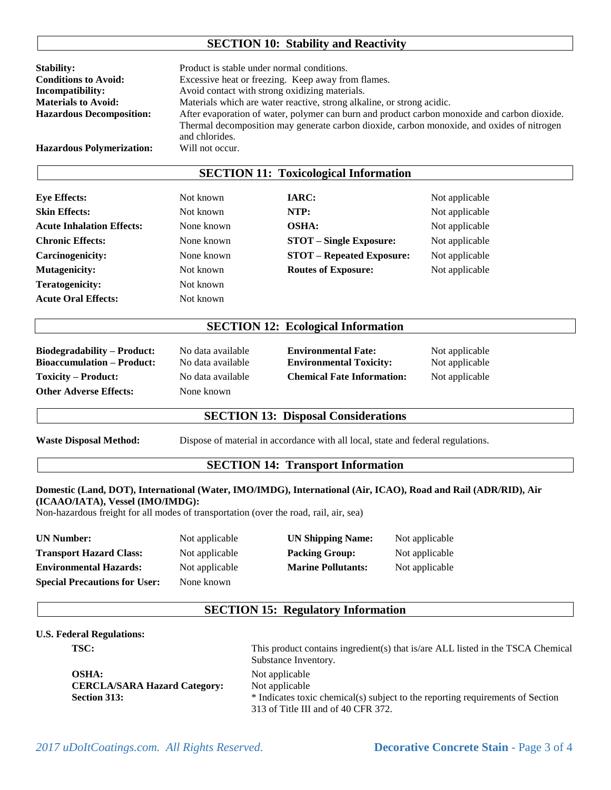## **SECTION 10: Stability and Reactivity**

| <b>Stability:</b>                | Product is stable under normal conditions.                                                                                                                                                                   |
|----------------------------------|--------------------------------------------------------------------------------------------------------------------------------------------------------------------------------------------------------------|
| <b>Conditions to Avoid:</b>      | Excessive heat or freezing. Keep away from flames.                                                                                                                                                           |
| <b>Incompatibility:</b>          | Avoid contact with strong oxidizing materials.                                                                                                                                                               |
| <b>Materials to Avoid:</b>       | Materials which are water reactive, strong alkaline, or strong acidic.                                                                                                                                       |
| <b>Hazardous Decomposition:</b>  | After evaporation of water, polymer can burn and product carbon monoxide and carbon dioxide.<br>Thermal decomposition may generate carbon dioxide, carbon monoxide, and oxides of nitrogen<br>and chlorides. |
| <b>Hazardous Polymerization:</b> | Will not occur.                                                                                                                                                                                              |

## **SECTION 11: Toxicological Information**

**Eye Effects:** Not known **IARC:** Not applicable **Skin Effects:** Not known **NTP:** Not applicable **Acute Inhalation Effects:** None known **OSHA:** Not applicable **Chronic Effects:** None known **STOT – Single Exposure:** Not applicable **Carcinogenicity:** None known **STOT – Repeated Exposure:** Not applicable **Mutagenicity:** Not known **Routes of Exposure:** Not applicable **Teratogenicity:** Not known **Acute Oral Effects:** Not known

## **SECTION 12: Ecological Information**

**Other Adverse Effects:** None known

**Biodegradability – Product:** No data available **Environmental Fate:** Not applicable **Bioaccumulation – Product:** No data available **Environmental Toxicity:** Not applicable **Toxicity – Product:** No data available **Chemical Fate Information:** Not applicable

## **SECTION 13: Disposal Considerations**

**Waste Disposal Method:** Dispose of material in accordance with all local, state and federal regulations.

#### **SECTION 14: Transport Information**

#### **Domestic (Land, DOT), International (Water, IMO/IMDG), International (Air, ICAO), Road and Rail (ADR/RID), Air (ICAAO/IATA), Vessel (IMO/IMDG):**

Non-hazardous freight for all modes of transportation (over the road, rail, air, sea)

| <b>UN Number:</b>                    | Not applicable | <b>UN Shipping Name:</b>  | Not applicable |
|--------------------------------------|----------------|---------------------------|----------------|
| <b>Transport Hazard Class:</b>       | Not applicable | <b>Packing Group:</b>     | Not applicable |
| <b>Environmental Hazards:</b>        | Not applicable | <b>Marine Pollutants:</b> | Not applicable |
| <b>Special Precautions for User:</b> | None known     |                           |                |

## **SECTION 15: Regulatory Information**

#### **U.S. Federal Regulations:**

**TSC:** This product contains ingredient(s) that is/are ALL listed in the TSCA Chemical

|                                     | Substance Inventory.                                                           |
|-------------------------------------|--------------------------------------------------------------------------------|
| <b>OSHA:</b>                        | Not applicable                                                                 |
| <b>CERCLA/SARA Hazard Category:</b> | Not applicable                                                                 |
| <b>Section 313:</b>                 | * Indicates toxic chemical(s) subject to the reporting requirements of Section |
|                                     | 313 of Title III and of 40 CFR 372.                                            |